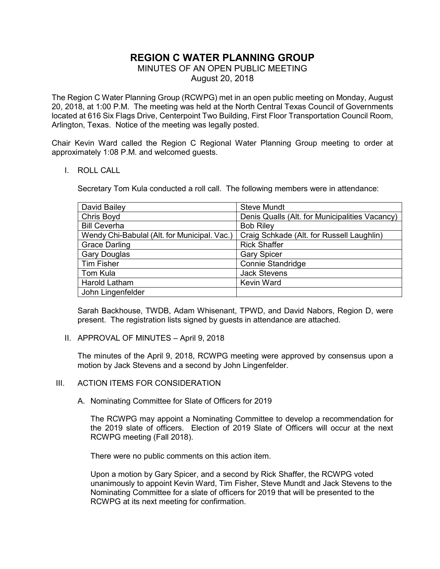# **REGION C WATER PLANNING GROUP**

## MINUTES OF AN OPEN PUBLIC MEETING

August 20, 2018

The Region C Water Planning Group (RCWPG) met in an open public meeting on Monday, August 20, 2018, at 1:00 P.M. The meeting was held at the North Central Texas Council of Governments located at 616 Six Flags Drive, Centerpoint Two Building, First Floor Transportation Council Room, Arlington, Texas. Notice of the meeting was legally posted.

Chair Kevin Ward called the Region C Regional Water Planning Group meeting to order at approximately 1:08 P.M. and welcomed guests.

#### I. ROLL CALL

Secretary Tom Kula conducted a roll call. The following members were in attendance:

| David Bailey                                 | <b>Steve Mundt</b>                             |  |
|----------------------------------------------|------------------------------------------------|--|
| Chris Boyd                                   | Denis Qualls (Alt. for Municipalities Vacancy) |  |
| <b>Bill Ceverha</b>                          | <b>Bob Riley</b>                               |  |
| Wendy Chi-Babulal (Alt. for Municipal. Vac.) | Craig Schkade (Alt. for Russell Laughlin)      |  |
| <b>Grace Darling</b>                         | <b>Rick Shaffer</b>                            |  |
| <b>Gary Douglas</b>                          | <b>Gary Spicer</b>                             |  |
| <b>Tim Fisher</b>                            | <b>Connie Standridge</b>                       |  |
| Tom Kula                                     | <b>Jack Stevens</b>                            |  |
| Harold Latham                                | <b>Kevin Ward</b>                              |  |
| John Lingenfelder                            |                                                |  |

Sarah Backhouse, TWDB, Adam Whisenant, TPWD, and David Nabors, Region D, were present. The registration lists signed by guests in attendance are attached.

II. APPROVAL OF MINUTES – April 9, 2018

The minutes of the April 9, 2018, RCWPG meeting were approved by consensus upon a motion by Jack Stevens and a second by John Lingenfelder.

#### III. ACTION ITEMS FOR CONSIDERATION

A. Nominating Committee for Slate of Officers for 2019

The RCWPG may appoint a Nominating Committee to develop a recommendation for the 2019 slate of officers. Election of 2019 Slate of Officers will occur at the next RCWPG meeting (Fall 2018).

There were no public comments on this action item.

Upon a motion by Gary Spicer, and a second by Rick Shaffer, the RCWPG voted unanimously to appoint Kevin Ward, Tim Fisher, Steve Mundt and Jack Stevens to the Nominating Committee for a slate of officers for 2019 that will be presented to the RCWPG at its next meeting for confirmation.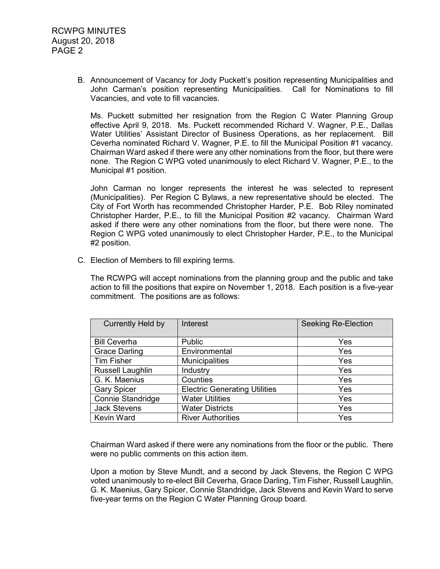B. Announcement of Vacancy for Jody Puckett's position representing Municipalities and John Carman's position representing Municipalities. Call for Nominations to fill Vacancies, and vote to fill vacancies.

Ms. Puckett submitted her resignation from the Region C Water Planning Group effective April 9, 2018. Ms. Puckett recommended Richard V. Wagner, P.E., Dallas Water Utilities' Assistant Director of Business Operations, as her replacement. Bill Ceverha nominated Richard V. Wagner, P.E. to fill the Municipal Position #1 vacancy. Chairman Ward asked if there were any other nominations from the floor, but there were none. The Region C WPG voted unanimously to elect Richard V. Wagner, P.E., to the Municipal #1 position.

John Carman no longer represents the interest he was selected to represent (Municipalities). Per Region C Bylaws, a new representative should be elected. The City of Fort Worth has recommended Christopher Harder, P.E. Bob Riley nominated Christopher Harder, P.E., to fill the Municipal Position #2 vacancy. Chairman Ward asked if there were any other nominations from the floor, but there were none. The Region C WPG voted unanimously to elect Christopher Harder, P.E., to the Municipal #2 position.

C. Election of Members to fill expiring terms.

The RCWPG will accept nominations from the planning group and the public and take action to fill the positions that expire on November 1, 2018. Each position is a five-year commitment. The positions are as follows:

| Currently Held by       | Interest                             | <b>Seeking Re-Election</b> |
|-------------------------|--------------------------------------|----------------------------|
|                         |                                      |                            |
| <b>Bill Ceverha</b>     | Public                               | Yes                        |
| <b>Grace Darling</b>    | Environmental                        | Yes                        |
| <b>Tim Fisher</b>       | <b>Municipalities</b>                | Yes                        |
| <b>Russell Laughlin</b> | Industry                             | <b>Yes</b>                 |
| G. K. Maenius           | Counties                             | <b>Yes</b>                 |
| <b>Gary Spicer</b>      | <b>Electric Generating Utilities</b> | Yes                        |
| Connie Standridge       | <b>Water Utilities</b>               | Yes                        |
| <b>Jack Stevens</b>     | <b>Water Districts</b>               | Yes                        |
| <b>Kevin Ward</b>       | <b>River Authorities</b>             | Yes                        |

Chairman Ward asked if there were any nominations from the floor or the public. There were no public comments on this action item.

Upon a motion by Steve Mundt, and a second by Jack Stevens, the Region C WPG voted unanimously to re-elect Bill Ceverha, Grace Darling, Tim Fisher, Russell Laughlin, G. K. Maenius, Gary Spicer, Connie Standridge, Jack Stevens and Kevin Ward to serve five-year terms on the Region C Water Planning Group board.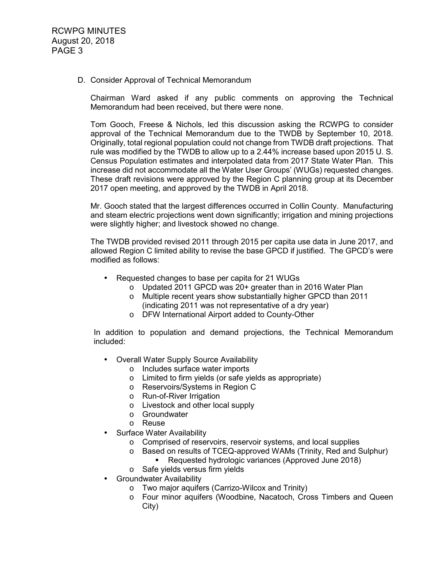#### D. Consider Approval of Technical Memorandum

Chairman Ward asked if any public comments on approving the Technical Memorandum had been received, but there were none.

Tom Gooch, Freese & Nichols, led this discussion asking the RCWPG to consider approval of the Technical Memorandum due to the TWDB by September 10, 2018. Originally, total regional population could not change from TWDB draft projections. That rule was modified by the TWDB to allow up to a 2.44% increase based upon 2015 U. S. Census Population estimates and interpolated data from 2017 State Water Plan. This increase did not accommodate all the Water User Groups' (WUGs) requested changes. These draft revisions were approved by the Region C planning group at its December 2017 open meeting, and approved by the TWDB in April 2018.

Mr. Gooch stated that the largest differences occurred in Collin County. Manufacturing and steam electric projections went down significantly; irrigation and mining projections were slightly higher; and livestock showed no change.

The TWDB provided revised 2011 through 2015 per capita use data in June 2017, and allowed Region C limited ability to revise the base GPCD if justified. The GPCD's were modified as follows:

- Requested changes to base per capita for 21 WUGs
	- o Updated 2011 GPCD was 20+ greater than in 2016 Water Plan
	- o Multiple recent years show substantially higher GPCD than 2011 (indicating 2011 was not representative of a dry year)
	- o DFW International Airport added to County-Other

In addition to population and demand projections, the Technical Memorandum included:

- Overall Water Supply Source Availability
	- o Includes surface water imports
	- o Limited to firm yields (or safe yields as appropriate)
	- o Reservoirs/Systems in Region C
	- o Run-of-River Irrigation
	- o Livestock and other local supply
	- o Groundwater
	- o Reuse
- Surface Water Availability
	- o Comprised of reservoirs, reservoir systems, and local supplies
	- o Based on results of TCEQ-approved WAMs (Trinity, Red and Sulphur)
		- **Requested hydrologic variances (Approved June 2018)**
	- o Safe yields versus firm yields
- Groundwater Availability
	- o Two major aquifers (Carrizo-Wilcox and Trinity)
	- o Four minor aquifers (Woodbine, Nacatoch, Cross Timbers and Queen City)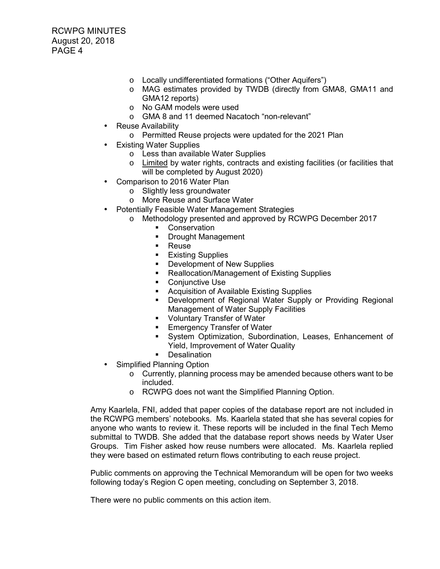RCWPG MINUTES August 20, 2018 PAGE 4

- o Locally undifferentiated formations ("Other Aquifers")
- o MAG estimates provided by TWDB (directly from GMA8, GMA11 and GMA12 reports)
- o No GAM models were used
- o GMA 8 and 11 deemed Nacatoch "non-relevant"
- Reuse Availability
	- o Permitted Reuse projects were updated for the 2021 Plan
- **Existing Water Supplies** 
	- o Less than available Water Supplies
	- $\circ$  Limited by water rights, contracts and existing facilities (or facilities that will be completed by August 2020)
- Comparison to 2016 Water Plan
	- o Slightly less groundwater
	- o More Reuse and Surface Water
- Potentially Feasible Water Management Strategies
	- o Methodology presented and approved by RCWPG December 2017
		- **•** Conservation
		- **-** Drought Management
		- **Reuse**
		- **Existing Supplies**
		- Development of New Supplies
		- Reallocation/Management of Existing Supplies
		- **Conjunctive Use**
		- **EXTER** Acquisition of Available Existing Supplies
		- **•** Development of Regional Water Supply or Providing Regional Management of Water Supply Facilities
		- **•** Voluntary Transfer of Water
		- **Emergency Transfer of Water**
		- System Optimization, Subordination, Leases, Enhancement of Yield, Improvement of Water Quality
		- **Desalination**
- Simplified Planning Option
	- o Currently, planning process may be amended because others want to be included.
	- o RCWPG does not want the Simplified Planning Option.

Amy Kaarlela, FNI, added that paper copies of the database report are not included in the RCWPG members' notebooks. Ms. Kaarlela stated that she has several copies for anyone who wants to review it. These reports will be included in the final Tech Memo submittal to TWDB. She added that the database report shows needs by Water User Groups. Tim Fisher asked how reuse numbers were allocated. Ms. Kaarlela replied they were based on estimated return flows contributing to each reuse project.

Public comments on approving the Technical Memorandum will be open for two weeks following today's Region C open meeting, concluding on September 3, 2018.

There were no public comments on this action item.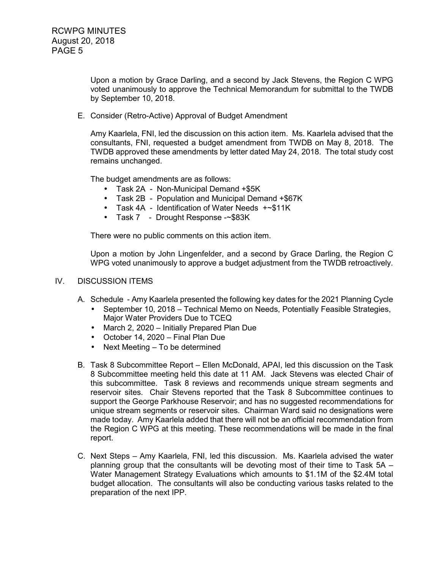Upon a motion by Grace Darling, and a second by Jack Stevens, the Region C WPG voted unanimously to approve the Technical Memorandum for submittal to the TWDB by September 10, 2018.

E. Consider (Retro-Active) Approval of Budget Amendment

Amy Kaarlela, FNI, led the discussion on this action item. Ms. Kaarlela advised that the consultants, FNI, requested a budget amendment from TWDB on May 8, 2018. The TWDB approved these amendments by letter dated May 24, 2018. The total study cost remains unchanged.

The budget amendments are as follows:

- Task 2A Non-Municipal Demand +\$5K
- Task 2B Population and Municipal Demand +\$67K
- Task 4A Identification of Water Needs +~\$11K
- Task 7 Drought Response -~\$83K

There were no public comments on this action item.

Upon a motion by John Lingenfelder, and a second by Grace Darling, the Region C WPG voted unanimously to approve a budget adjustment from the TWDB retroactively.

#### IV. DISCUSSION ITEMS

- A. Schedule Amy Kaarlela presented the following key dates for the 2021 Planning Cycle
	- September 10, 2018 Technical Memo on Needs, Potentially Feasible Strategies, Major Water Providers Due to TCEQ
	- March 2, 2020 Initially Prepared Plan Due
	- October 14, 2020 Final Plan Due
	- Next Meeting To be determined
- B. Task 8 Subcommittee Report Ellen McDonald, APAI, led this discussion on the Task 8 Subcommittee meeting held this date at 11 AM. Jack Stevens was elected Chair of this subcommittee. Task 8 reviews and recommends unique stream segments and reservoir sites. Chair Stevens reported that the Task 8 Subcommittee continues to support the George Parkhouse Reservoir; and has no suggested recommendations for unique stream segments or reservoir sites. Chairman Ward said no designations were made today. Amy Kaarlela added that there will not be an official recommendation from the Region C WPG at this meeting. These recommendations will be made in the final report.
- C. Next Steps Amy Kaarlela, FNI, led this discussion. Ms. Kaarlela advised the water planning group that the consultants will be devoting most of their time to Task 5A – Water Management Strategy Evaluations which amounts to \$1.1M of the \$2.4M total budget allocation. The consultants will also be conducting various tasks related to the preparation of the next IPP.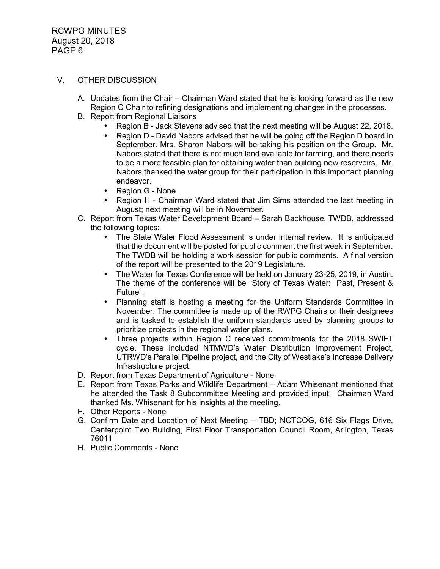#### V. OTHER DISCUSSION

- A. Updates from the Chair Chairman Ward stated that he is looking forward as the new Region C Chair to refining designations and implementing changes in the processes.
- B. Report from Regional Liaisons
	- Region B Jack Stevens advised that the next meeting will be August 22, 2018.
	- Region D David Nabors advised that he will be going off the Region D board in September. Mrs. Sharon Nabors will be taking his position on the Group. Mr. Nabors stated that there is not much land available for farming, and there needs to be a more feasible plan for obtaining water than building new reservoirs. Mr. Nabors thanked the water group for their participation in this important planning endeavor.
	- Region G None
	- Region H Chairman Ward stated that Jim Sims attended the last meeting in August; next meeting will be in November.
- C. Report from Texas Water Development Board Sarah Backhouse, TWDB, addressed the following topics:
	- The State Water Flood Assessment is under internal review. It is anticipated that the document will be posted for public comment the first week in September. The TWDB will be holding a work session for public comments. A final version of the report will be presented to the 2019 Legislature.
	- The Water for Texas Conference will be held on January 23-25, 2019, in Austin. The theme of the conference will be "Story of Texas Water: Past, Present & Future".
	- Planning staff is hosting a meeting for the Uniform Standards Committee in November. The committee is made up of the RWPG Chairs or their designees and is tasked to establish the uniform standards used by planning groups to prioritize projects in the regional water plans.
	- Three projects within Region C received commitments for the 2018 SWIFT cycle. These included NTMWD's Water Distribution Improvement Project, UTRWD's Parallel Pipeline project, and the City of Westlake's Increase Delivery Infrastructure project.
- D. Report from Texas Department of Agriculture None
- E. Report from Texas Parks and Wildlife Department Adam Whisenant mentioned that he attended the Task 8 Subcommittee Meeting and provided input. Chairman Ward thanked Ms. Whisenant for his insights at the meeting.
- F. Other Reports None
- G. Confirm Date and Location of Next Meeting TBD; NCTCOG, 616 Six Flags Drive, Centerpoint Two Building, First Floor Transportation Council Room, Arlington, Texas 76011
- H. Public Comments None